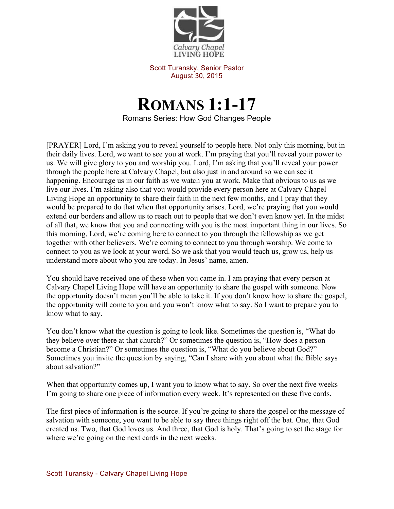

Scott Turansky, Senior Pastor August 30, 2015

## **ROMANS 1:1-17** Romans Series: How God Changes People

[PRAYER] Lord, I'm asking you to reveal yourself to people here. Not only this morning, but in their daily lives. Lord, we want to see you at work. I'm praying that you'll reveal your power to us. We will give glory to you and worship you. Lord, I'm asking that you'll reveal your power through the people here at Calvary Chapel, but also just in and around so we can see it happening. Encourage us in our faith as we watch you at work. Make that obvious to us as we live our lives. I'm asking also that you would provide every person here at Calvary Chapel Living Hope an opportunity to share their faith in the next few months, and I pray that they would be prepared to do that when that opportunity arises. Lord, we're praying that you would extend our borders and allow us to reach out to people that we don't even know yet. In the midst of all that, we know that you and connecting with you is the most important thing in our lives. So this morning, Lord, we're coming here to connect to you through the fellowship as we get together with other believers. We're coming to connect to you through worship. We come to connect to you as we look at your word. So we ask that you would teach us, grow us, help us understand more about who you are today. In Jesus' name, amen.

You should have received one of these when you came in. I am praying that every person at Calvary Chapel Living Hope will have an opportunity to share the gospel with someone. Now the opportunity doesn't mean you'll be able to take it. If you don't know how to share the gospel, the opportunity will come to you and you won't know what to say. So I want to prepare you to know what to say.

You don't know what the question is going to look like. Sometimes the question is, "What do they believe over there at that church?" Or sometimes the question is, "How does a person become a Christian?" Or sometimes the question is, "What do you believe about God?" Sometimes you invite the question by saying, "Can I share with you about what the Bible says about salvation?"

When that opportunity comes up, I want you to know what to say. So over the next five weeks I'm going to share one piece of information every week. It's represented on these five cards.

The first piece of information is the source. If you're going to share the gospel or the message of salvation with someone, you want to be able to say three things right off the bat. One, that God created us. Two, that God loves us. And three, that God is holy. That's going to set the stage for where we're going on the next cards in the next weeks.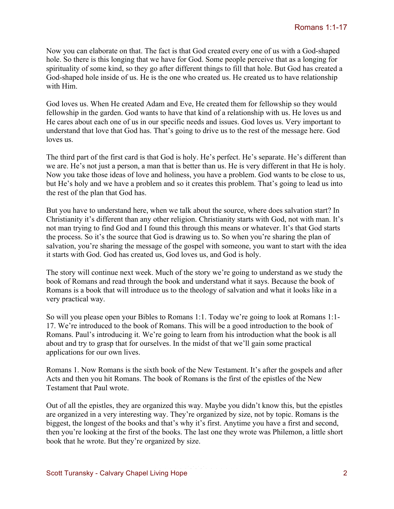Now you can elaborate on that. The fact is that God created every one of us with a God-shaped hole. So there is this longing that we have for God. Some people perceive that as a longing for spirituality of some kind, so they go after different things to fill that hole. But God has created a God-shaped hole inside of us. He is the one who created us. He created us to have relationship with Him.

God loves us. When He created Adam and Eve, He created them for fellowship so they would fellowship in the garden. God wants to have that kind of a relationship with us. He loves us and He cares about each one of us in our specific needs and issues. God loves us. Very important to understand that love that God has. That's going to drive us to the rest of the message here. God loves us.

The third part of the first card is that God is holy. He's perfect. He's separate. He's different than we are. He's not just a person, a man that is better than us. He is very different in that He is holy. Now you take those ideas of love and holiness, you have a problem. God wants to be close to us, but He's holy and we have a problem and so it creates this problem. That's going to lead us into the rest of the plan that God has.

But you have to understand here, when we talk about the source, where does salvation start? In Christianity it's different than any other religion. Christianity starts with God, not with man. It's not man trying to find God and I found this through this means or whatever. It's that God starts the process. So it's the source that God is drawing us to. So when you're sharing the plan of salvation, you're sharing the message of the gospel with someone, you want to start with the idea it starts with God. God has created us, God loves us, and God is holy.

The story will continue next week. Much of the story we're going to understand as we study the book of Romans and read through the book and understand what it says. Because the book of Romans is a book that will introduce us to the theology of salvation and what it looks like in a very practical way.

So will you please open your Bibles to Romans 1:1. Today we're going to look at Romans 1:1- 17. We're introduced to the book of Romans. This will be a good introduction to the book of Romans. Paul's introducing it. We're going to learn from his introduction what the book is all about and try to grasp that for ourselves. In the midst of that we'll gain some practical applications for our own lives.

Romans 1. Now Romans is the sixth book of the New Testament. It's after the gospels and after Acts and then you hit Romans. The book of Romans is the first of the epistles of the New Testament that Paul wrote.

Out of all the epistles, they are organized this way. Maybe you didn't know this, but the epistles are organized in a very interesting way. They're organized by size, not by topic. Romans is the biggest, the longest of the books and that's why it's first. Anytime you have a first and second, then you're looking at the first of the books. The last one they wrote was Philemon, a little short book that he wrote. But they're organized by size.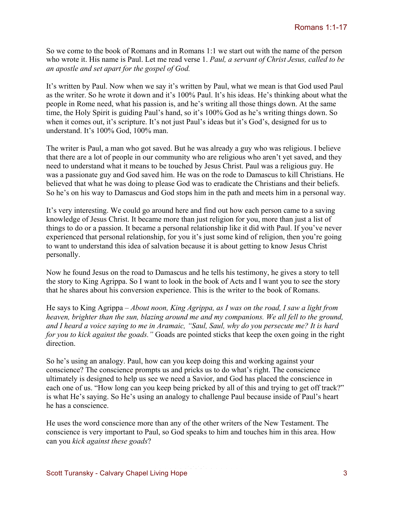So we come to the book of Romans and in Romans 1:1 we start out with the name of the person who wrote it. His name is Paul. Let me read verse 1. *Paul, a servant of Christ Jesus, called to be an apostle and set apart for the gospel of God.* 

It's written by Paul. Now when we say it's written by Paul, what we mean is that God used Paul as the writer. So he wrote it down and it's 100% Paul. It's his ideas. He's thinking about what the people in Rome need, what his passion is, and he's writing all those things down. At the same time, the Holy Spirit is guiding Paul's hand, so it's 100% God as he's writing things down. So when it comes out, it's scripture. It's not just Paul's ideas but it's God's, designed for us to understand. It's 100% God, 100% man.

The writer is Paul, a man who got saved. But he was already a guy who was religious. I believe that there are a lot of people in our community who are religious who aren't yet saved, and they need to understand what it means to be touched by Jesus Christ. Paul was a religious guy. He was a passionate guy and God saved him. He was on the rode to Damascus to kill Christians. He believed that what he was doing to please God was to eradicate the Christians and their beliefs. So he's on his way to Damascus and God stops him in the path and meets him in a personal way.

It's very interesting. We could go around here and find out how each person came to a saving knowledge of Jesus Christ. It became more than just religion for you, more than just a list of things to do or a passion. It became a personal relationship like it did with Paul. If you've never experienced that personal relationship, for you it's just some kind of religion, then you're going to want to understand this idea of salvation because it is about getting to know Jesus Christ personally.

Now he found Jesus on the road to Damascus and he tells his testimony, he gives a story to tell the story to King Agrippa. So I want to look in the book of Acts and I want you to see the story that he shares about his conversion experience. This is the writer to the book of Romans.

He says to King Agrippa – *About noon, King Agrippa, as I was on the road, I saw a light from heaven, brighter than the sun, blazing around me and my companions. We all fell to the ground, and I heard a voice saying to me in Aramaic, "Saul, Saul, why do you persecute me? It is hard for you to kick against the goads."* Goads are pointed sticks that keep the oxen going in the right direction.

So he's using an analogy. Paul, how can you keep doing this and working against your conscience? The conscience prompts us and pricks us to do what's right. The conscience ultimately is designed to help us see we need a Savior, and God has placed the conscience in each one of us. "How long can you keep being pricked by all of this and trying to get off track?" is what He's saying. So He's using an analogy to challenge Paul because inside of Paul's heart he has a conscience.

He uses the word conscience more than any of the other writers of the New Testament. The conscience is very important to Paul, so God speaks to him and touches him in this area. How can you *kick against these goads*?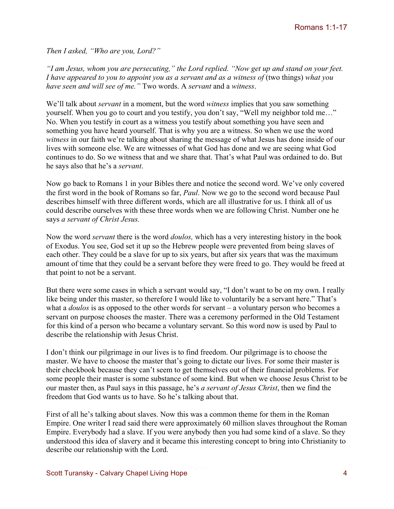*Then I asked, "Who are you, Lord?"*

*"I am Jesus, whom you are persecuting," the Lord replied. "Now get up and stand on your feet. I have appeared to you to appoint you as a servant and as a witness of (two things) what you have seen and will see of me."* Two words. A *servant* and a *witness*.

We'll talk about *servant* in a moment, but the word *witness* implies that you saw something yourself. When you go to court and you testify, you don't say, "Well my neighbor told me…" No. When you testify in court as a witness you testify about something you have seen and something you have heard yourself. That is why you are a witness. So when we use the word *witness* in our faith we're talking about sharing the message of what Jesus has done inside of our lives with someone else. We are witnesses of what God has done and we are seeing what God continues to do. So we witness that and we share that. That's what Paul was ordained to do. But he says also that he's a *servant*.

Now go back to Romans 1 in your Bibles there and notice the second word. We've only covered the first word in the book of Romans so far, *Paul*. Now we go to the second word because Paul describes himself with three different words, which are all illustrative for us. I think all of us could describe ourselves with these three words when we are following Christ. Number one he says *a servant of Christ Jesus.* 

Now the word *servant* there is the word *doulos,* which has a very interesting history in the book of Exodus. You see, God set it up so the Hebrew people were prevented from being slaves of each other. They could be a slave for up to six years, but after six years that was the maximum amount of time that they could be a servant before they were freed to go. They would be freed at that point to not be a servant.

But there were some cases in which a servant would say, "I don't want to be on my own. I really like being under this master, so therefore I would like to voluntarily be a servant here." That's what a *doulos* is as opposed to the other words for servant – a voluntary person who becomes a servant on purpose chooses the master. There was a ceremony performed in the Old Testament for this kind of a person who became a voluntary servant. So this word now is used by Paul to describe the relationship with Jesus Christ.

I don't think our pilgrimage in our lives is to find freedom. Our pilgrimage is to choose the master. We have to choose the master that's going to dictate our lives. For some their master is their checkbook because they can't seem to get themselves out of their financial problems. For some people their master is some substance of some kind. But when we choose Jesus Christ to be our master then, as Paul says in this passage, he's *a servant of Jesus Christ*, then we find the freedom that God wants us to have. So he's talking about that.

First of all he's talking about slaves. Now this was a common theme for them in the Roman Empire. One writer I read said there were approximately 60 million slaves throughout the Roman Empire. Everybody had a slave. If you were anybody then you had some kind of a slave. So they understood this idea of slavery and it became this interesting concept to bring into Christianity to describe our relationship with the Lord.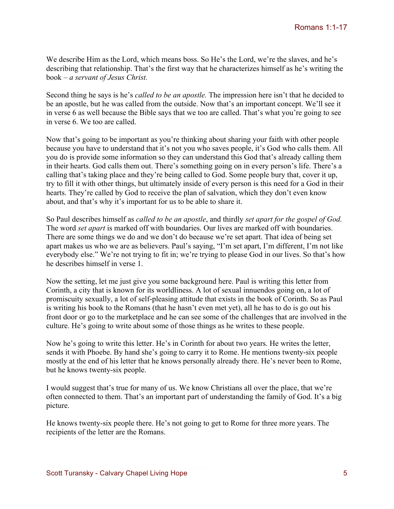We describe Him as the Lord, which means boss. So He's the Lord, we're the slaves, and he's describing that relationship. That's the first way that he characterizes himself as he's writing the book – *a servant of Jesus Christ.*

Second thing he says is he's *called to be an apostle.* The impression here isn't that he decided to be an apostle, but he was called from the outside. Now that's an important concept. We'll see it in verse 6 as well because the Bible says that we too are called. That's what you're going to see in verse 6. We too are called.

Now that's going to be important as you're thinking about sharing your faith with other people because you have to understand that it's not you who saves people, it's God who calls them. All you do is provide some information so they can understand this God that's already calling them in their hearts. God calls them out. There's something going on in every person's life. There's a calling that's taking place and they're being called to God. Some people bury that, cover it up, try to fill it with other things, but ultimately inside of every person is this need for a God in their hearts. They're called by God to receive the plan of salvation, which they don't even know about, and that's why it's important for us to be able to share it.

So Paul describes himself as *called to be an apostle*, and thirdly *set apart for the gospel of God.*  The word *set apart* is marked off with boundaries. Our lives are marked off with boundaries. There are some things we do and we don't do because we're set apart. That idea of being set apart makes us who we are as believers. Paul's saying, "I'm set apart, I'm different, I'm not like everybody else." We're not trying to fit in; we're trying to please God in our lives. So that's how he describes himself in verse 1.

Now the setting, let me just give you some background here. Paul is writing this letter from Corinth, a city that is known for its worldliness. A lot of sexual innuendos going on, a lot of promiscuity sexually, a lot of self-pleasing attitude that exists in the book of Corinth. So as Paul is writing his book to the Romans (that he hasn't even met yet), all he has to do is go out his front door or go to the marketplace and he can see some of the challenges that are involved in the culture. He's going to write about some of those things as he writes to these people.

Now he's going to write this letter. He's in Corinth for about two years. He writes the letter, sends it with Phoebe. By hand she's going to carry it to Rome. He mentions twenty-six people mostly at the end of his letter that he knows personally already there. He's never been to Rome, but he knows twenty-six people.

I would suggest that's true for many of us. We know Christians all over the place, that we're often connected to them. That's an important part of understanding the family of God. It's a big picture.

He knows twenty-six people there. He's not going to get to Rome for three more years. The recipients of the letter are the Romans.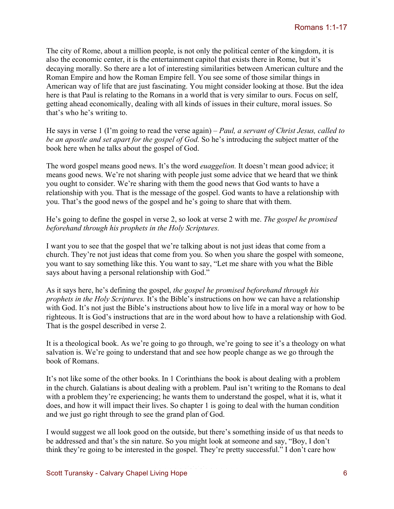The city of Rome, about a million people, is not only the political center of the kingdom, it is also the economic center, it is the entertainment capitol that exists there in Rome, but it's decaying morally. So there are a lot of interesting similarities between American culture and the Roman Empire and how the Roman Empire fell. You see some of those similar things in American way of life that are just fascinating. You might consider looking at those. But the idea here is that Paul is relating to the Romans in a world that is very similar to ours. Focus on self, getting ahead economically, dealing with all kinds of issues in their culture, moral issues. So that's who he's writing to.

He says in verse 1 (I'm going to read the verse again) – *Paul, a servant of Christ Jesus, called to be an apostle and set apart for the gospel of God.* So he's introducing the subject matter of the book here when he talks about the gospel of God.

The word gospel means good news. It's the word *euaggelion.* It doesn't mean good advice; it means good news. We're not sharing with people just some advice that we heard that we think you ought to consider. We're sharing with them the good news that God wants to have a relationship with you. That is the message of the gospel. God wants to have a relationship with you. That's the good news of the gospel and he's going to share that with them.

He's going to define the gospel in verse 2, so look at verse 2 with me. *The gospel he promised beforehand through his prophets in the Holy Scriptures.* 

I want you to see that the gospel that we're talking about is not just ideas that come from a church. They're not just ideas that come from you. So when you share the gospel with someone, you want to say something like this. You want to say, "Let me share with you what the Bible says about having a personal relationship with God."

As it says here, he's defining the gospel, *the gospel he promised beforehand through his prophets in the Holy Scriptures.* It's the Bible's instructions on how we can have a relationship with God. It's not just the Bible's instructions about how to live life in a moral way or how to be righteous. It is God's instructions that are in the word about how to have a relationship with God. That is the gospel described in verse 2.

It is a theological book. As we're going to go through, we're going to see it's a theology on what salvation is. We're going to understand that and see how people change as we go through the book of Romans.

It's not like some of the other books. In 1 Corinthians the book is about dealing with a problem in the church. Galatians is about dealing with a problem. Paul isn't writing to the Romans to deal with a problem they're experiencing; he wants them to understand the gospel, what it is, what it does, and how it will impact their lives. So chapter 1 is going to deal with the human condition and we just go right through to see the grand plan of God.

I would suggest we all look good on the outside, but there's something inside of us that needs to be addressed and that's the sin nature. So you might look at someone and say, "Boy, I don't think they're going to be interested in the gospel. They're pretty successful." I don't care how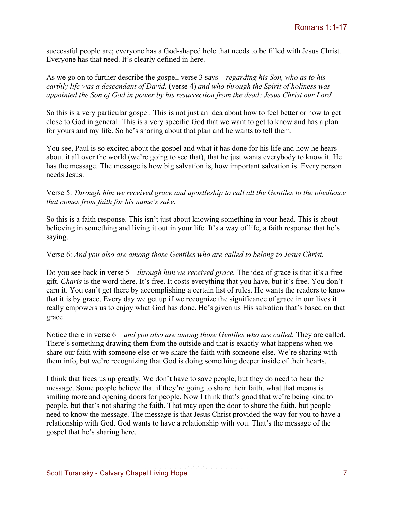successful people are; everyone has a God-shaped hole that needs to be filled with Jesus Christ. Everyone has that need. It's clearly defined in here.

As we go on to further describe the gospel, verse 3 says – *regarding his Son, who as to his earthly life was a descendant of David,* (verse 4) *and who through the Spirit of holiness was appointed the Son of God in power by his resurrection from the dead: Jesus Christ our Lord.* 

So this is a very particular gospel. This is not just an idea about how to feel better or how to get close to God in general. This is a very specific God that we want to get to know and has a plan for yours and my life. So he's sharing about that plan and he wants to tell them.

You see, Paul is so excited about the gospel and what it has done for his life and how he hears about it all over the world (we're going to see that), that he just wants everybody to know it. He has the message. The message is how big salvation is, how important salvation is. Every person needs Jesus.

## Verse 5: *Through him we received grace and apostleship to call all the Gentiles to the obedience that comes from faith for his name's sake.*

So this is a faith response. This isn't just about knowing something in your head. This is about believing in something and living it out in your life. It's a way of life, a faith response that he's saying.

## Verse 6: *And you also are among those Gentiles who are called to belong to Jesus Christ.*

Do you see back in verse 5 – *through him we received grace.* The idea of grace is that it's a free gift. *Charis* is the word there. It's free. It costs everything that you have, but it's free. You don't earn it. You can't get there by accomplishing a certain list of rules. He wants the readers to know that it is by grace. Every day we get up if we recognize the significance of grace in our lives it really empowers us to enjoy what God has done. He's given us His salvation that's based on that grace.

Notice there in verse  $6$  – *and you also are among those Gentiles who are called*. They are called. There's something drawing them from the outside and that is exactly what happens when we share our faith with someone else or we share the faith with someone else. We're sharing with them info, but we're recognizing that God is doing something deeper inside of their hearts.

I think that frees us up greatly. We don't have to save people, but they do need to hear the message. Some people believe that if they're going to share their faith, what that means is smiling more and opening doors for people. Now I think that's good that we're being kind to people, but that's not sharing the faith. That may open the door to share the faith, but people need to know the message. The message is that Jesus Christ provided the way for you to have a relationship with God. God wants to have a relationship with you. That's the message of the gospel that he's sharing here.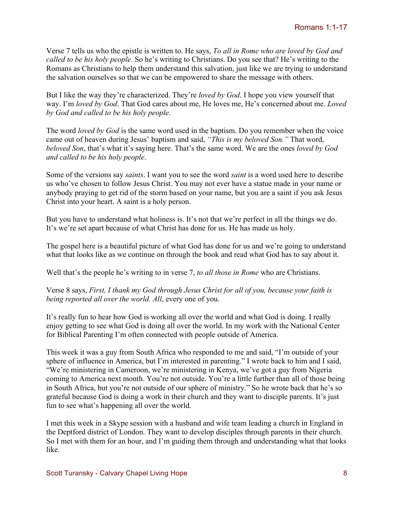Verse 7 tells us who the epistle is written to. He says, *To all in Rome who are loved by God and called to be his holy people.* So he's writing to Christians. Do you see that? He's writing to the Romans as Christians to help them understand this salvation, just like we are trying to understand the salvation ourselves so that we can be empowered to share the message with others.

But I like the way they're characterized. They're *loved by God*. I hope you view yourself that way. I'm *loved by God*. That God cares about me, He loves me, He's concerned about me. *Loved by God and called to be his holy people*.

The word *loved by God* is the same word used in the baptism. Do you remember when the voice came out of heaven during Jesus' baptism and said, *"This is my beloved Son."* That word, *beloved Son*, that's what it's saying here. That's the same word. We are the ones *loved by God and called to be his holy people*.

Some of the versions say *saints*. I want you to see the word *saint* is a word used here to describe us who've chosen to follow Jesus Christ. You may not ever have a statue made in your name or anybody praying to get rid of the storm based on your name, but you are a saint if you ask Jesus Christ into your heart. A saint is a holy person.

But you have to understand what holiness is. It's not that we're perfect in all the things we do. It's we're set apart because of what Christ has done for us. He has made us holy.

The gospel here is a beautiful picture of what God has done for us and we're going to understand what that looks like as we continue on through the book and read what God has to say about it.

Well that's the people he's writing to in verse 7, *to all those in Rome* who are Christians.

Verse 8 says, *First, I thank my God through Jesus Christ for all of you, because your faith is being reported all over the world. All*, every one of you.

It's really fun to hear how God is working all over the world and what God is doing. I really enjoy getting to see what God is doing all over the world. In my work with the National Center for Biblical Parenting I'm often connected with people outside of America.

This week it was a guy from South Africa who responded to me and said, "I'm outside of your sphere of influence in America, but I'm interested in parenting." I wrote back to him and I said, "We're ministering in Cameroon, we're ministering in Kenya, we've got a guy from Nigeria coming to America next month. You're not outside. You're a little further than all of those being in South Africa, but you're not outside of our sphere of ministry." So he wrote back that he's so grateful because God is doing a work in their church and they want to disciple parents. It's just fun to see what's happening all over the world.

I met this week in a Skype session with a husband and wife team leading a church in England in the Deptford district of London. They want to develop disciples through parents in their church. So I met with them for an hour, and I'm guiding them through and understanding what that looks like.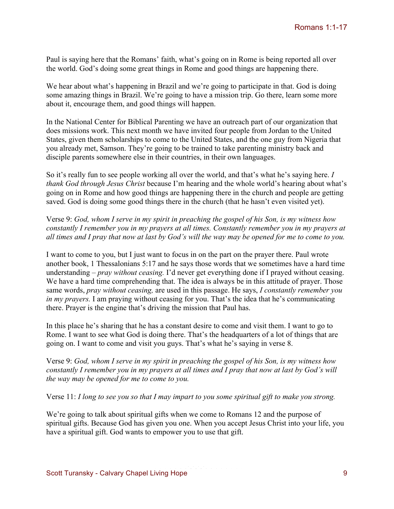Paul is saying here that the Romans' faith, what's going on in Rome is being reported all over the world. God's doing some great things in Rome and good things are happening there.

We hear about what's happening in Brazil and we're going to participate in that. God is doing some amazing things in Brazil. We're going to have a mission trip. Go there, learn some more about it, encourage them, and good things will happen.

In the National Center for Biblical Parenting we have an outreach part of our organization that does missions work. This next month we have invited four people from Jordan to the United States, given them scholarships to come to the United States, and the one guy from Nigeria that you already met, Samson. They're going to be trained to take parenting ministry back and disciple parents somewhere else in their countries, in their own languages.

So it's really fun to see people working all over the world, and that's what he's saying here. *I thank God through Jesus Christ* because I'm hearing and the whole world's hearing about what's going on in Rome and how good things are happening there in the church and people are getting saved. God is doing some good things there in the church (that he hasn't even visited yet).

Verse 9: *God, whom I serve in my spirit in preaching the gospel of his Son, is my witness how constantly I remember you in my prayers at all times. Constantly remember you in my prayers at all times and I pray that now at last by God's will the way may be opened for me to come to you.*

I want to come to you, but I just want to focus in on the part on the prayer there. Paul wrote another book, 1 Thessalonians 5:17 and he says those words that we sometimes have a hard time understanding – *pray without ceasing.* I'd never get everything done if I prayed without ceasing. We have a hard time comprehending that. The idea is always be in this attitude of prayer. Those same words, *pray without ceasing,* are used in this passage. He says, *I constantly remember you in my prayers.* I am praying without ceasing for you. That's the idea that he's communicating there. Prayer is the engine that's driving the mission that Paul has.

In this place he's sharing that he has a constant desire to come and visit them. I want to go to Rome. I want to see what God is doing there. That's the headquarters of a lot of things that are going on. I want to come and visit you guys. That's what he's saying in verse 8.

Verse 9: *God, whom I serve in my spirit in preaching the gospel of his Son, is my witness how constantly I remember you in my prayers at all times and I pray that now at last by God's will the way may be opened for me to come to you.*

Verse 11: *I long to see you so that I may impart to you some spiritual gift to make you strong.* 

We're going to talk about spiritual gifts when we come to Romans 12 and the purpose of spiritual gifts. Because God has given you one. When you accept Jesus Christ into your life, you have a spiritual gift. God wants to empower you to use that gift.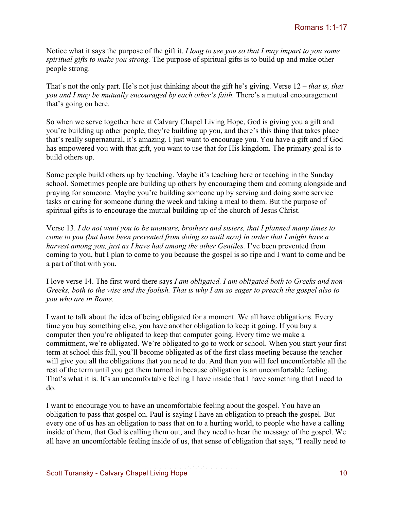Notice what it says the purpose of the gift it. *I long to see you so that I may impart to you some spiritual gifts to make you strong.* The purpose of spiritual gifts is to build up and make other people strong.

That's not the only part. He's not just thinking about the gift he's giving. Verse 12 – *that is, that you and I may be mutually encouraged by each other's faith.* There's a mutual encouragement that's going on here.

So when we serve together here at Calvary Chapel Living Hope, God is giving you a gift and you're building up other people, they're building up you, and there's this thing that takes place that's really supernatural, it's amazing. I just want to encourage you. You have a gift and if God has empowered you with that gift, you want to use that for His kingdom. The primary goal is to build others up.

Some people build others up by teaching. Maybe it's teaching here or teaching in the Sunday school. Sometimes people are building up others by encouraging them and coming alongside and praying for someone. Maybe you're building someone up by serving and doing some service tasks or caring for someone during the week and taking a meal to them. But the purpose of spiritual gifts is to encourage the mutual building up of the church of Jesus Christ.

Verse 13. *I do not want you to be unaware, brothers and sisters, that I planned many times to come to you (but have been prevented from doing so until now) in order that I might have a harvest among you, just as I have had among the other Gentiles.* I've been prevented from coming to you, but I plan to come to you because the gospel is so ripe and I want to come and be a part of that with you.

I love verse 14. The first word there says *I am obligated. I am obligated both to Greeks and non-Greeks, both to the wise and the foolish. That is why I am so eager to preach the gospel also to you who are in Rome.*

I want to talk about the idea of being obligated for a moment. We all have obligations. Every time you buy something else, you have another obligation to keep it going. If you buy a computer then you're obligated to keep that computer going. Every time we make a commitment, we're obligated. We're obligated to go to work or school. When you start your first term at school this fall, you'll become obligated as of the first class meeting because the teacher will give you all the obligations that you need to do. And then you will feel uncomfortable all the rest of the term until you get them turned in because obligation is an uncomfortable feeling. That's what it is. It's an uncomfortable feeling I have inside that I have something that I need to do.

I want to encourage you to have an uncomfortable feeling about the gospel. You have an obligation to pass that gospel on. Paul is saying I have an obligation to preach the gospel. But every one of us has an obligation to pass that on to a hurting world, to people who have a calling inside of them, that God is calling them out, and they need to hear the message of the gospel. We all have an uncomfortable feeling inside of us, that sense of obligation that says, "I really need to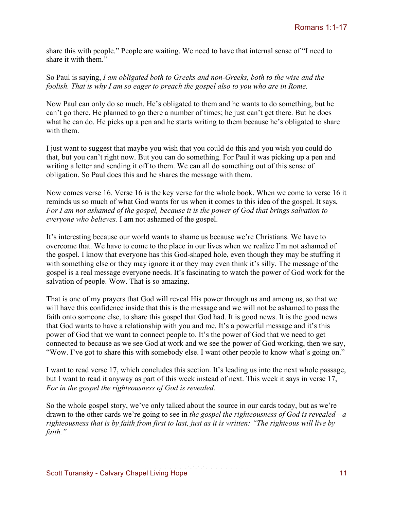share this with people." People are waiting. We need to have that internal sense of "I need to share it with them."

So Paul is saying, *I am obligated both to Greeks and non-Greeks, both to the wise and the foolish. That is why I am so eager to preach the gospel also to you who are in Rome.* 

Now Paul can only do so much. He's obligated to them and he wants to do something, but he can't go there. He planned to go there a number of times; he just can't get there. But he does what he can do. He picks up a pen and he starts writing to them because he's obligated to share with them.

I just want to suggest that maybe you wish that you could do this and you wish you could do that, but you can't right now. But you can do something. For Paul it was picking up a pen and writing a letter and sending it off to them. We can all do something out of this sense of obligation. So Paul does this and he shares the message with them.

Now comes verse 16. Verse 16 is the key verse for the whole book. When we come to verse 16 it reminds us so much of what God wants for us when it comes to this idea of the gospel. It says, *For I am not ashamed of the gospel, because it is the power of God that brings salvation to everyone who believes.* I am not ashamed of the gospel.

It's interesting because our world wants to shame us because we're Christians. We have to overcome that. We have to come to the place in our lives when we realize I'm not ashamed of the gospel. I know that everyone has this God-shaped hole, even though they may be stuffing it with something else or they may ignore it or they may even think it's silly. The message of the gospel is a real message everyone needs. It's fascinating to watch the power of God work for the salvation of people. Wow. That is so amazing.

That is one of my prayers that God will reveal His power through us and among us, so that we will have this confidence inside that this is the message and we will not be ashamed to pass the faith onto someone else, to share this gospel that God had. It is good news. It is the good news that God wants to have a relationship with you and me. It's a powerful message and it's this power of God that we want to connect people to. It's the power of God that we need to get connected to because as we see God at work and we see the power of God working, then we say, "Wow. I've got to share this with somebody else. I want other people to know what's going on."

I want to read verse 17, which concludes this section. It's leading us into the next whole passage, but I want to read it anyway as part of this week instead of next. This week it says in verse 17, *For in the gospel the righteousness of God is revealed.* 

So the whole gospel story, we've only talked about the source in our cards today, but as we're drawn to the other cards we're going to see in *the gospel the righteousness of God is revealed—a righteousness that is by faith from first to last, just as it is written: "The righteous will live by faith."*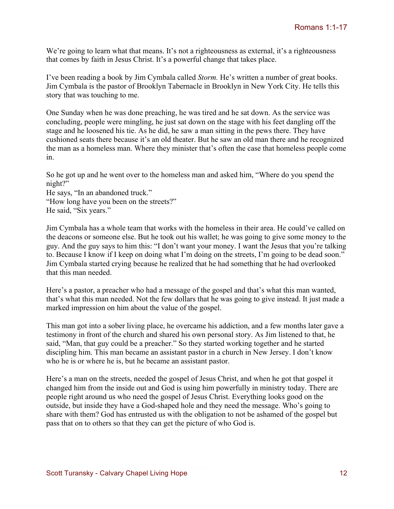We're going to learn what that means. It's not a righteousness as external, it's a righteousness that comes by faith in Jesus Christ. It's a powerful change that takes place.

I've been reading a book by Jim Cymbala called *Storm.* He's written a number of great books. Jim Cymbala is the pastor of Brooklyn Tabernacle in Brooklyn in New York City. He tells this story that was touching to me.

One Sunday when he was done preaching, he was tired and he sat down. As the service was concluding, people were mingling, he just sat down on the stage with his feet dangling off the stage and he loosened his tie. As he did, he saw a man sitting in the pews there. They have cushioned seats there because it's an old theater. But he saw an old man there and he recognized the man as a homeless man. Where they minister that's often the case that homeless people come in.

So he got up and he went over to the homeless man and asked him, "Where do you spend the night?"

He says, "In an abandoned truck." "How long have you been on the streets?" He said, "Six years."

Jim Cymbala has a whole team that works with the homeless in their area. He could've called on the deacons or someone else. But he took out his wallet; he was going to give some money to the guy. And the guy says to him this: "I don't want your money. I want the Jesus that you're talking to. Because I know if I keep on doing what I'm doing on the streets, I'm going to be dead soon." Jim Cymbala started crying because he realized that he had something that he had overlooked that this man needed.

Here's a pastor, a preacher who had a message of the gospel and that's what this man wanted, that's what this man needed. Not the few dollars that he was going to give instead. It just made a marked impression on him about the value of the gospel.

This man got into a sober living place, he overcame his addiction, and a few months later gave a testimony in front of the church and shared his own personal story. As Jim listened to that, he said, "Man, that guy could be a preacher." So they started working together and he started discipling him. This man became an assistant pastor in a church in New Jersey. I don't know who he is or where he is, but he became an assistant pastor.

Here's a man on the streets, needed the gospel of Jesus Christ, and when he got that gospel it changed him from the inside out and God is using him powerfully in ministry today. There are people right around us who need the gospel of Jesus Christ. Everything looks good on the outside, but inside they have a God-shaped hole and they need the message. Who's going to share with them? God has entrusted us with the obligation to not be ashamed of the gospel but pass that on to others so that they can get the picture of who God is.